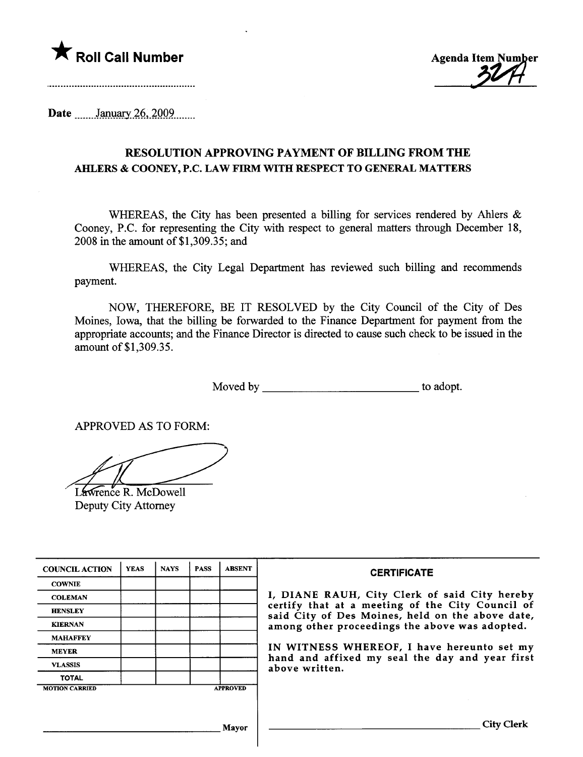



Date \_\_\_\_\_\_ January 26, 2009

## RESOLUTION APPROVING PAYMENT OF BILLING FROM THE AHLERS & COONEY, P.C. LAW FIRM WITH RESPECT TO GENERAL MATTERS

WHEREAS, the City has been presented a billing for services rendered by Ahlers  $\&$ Cooney, P.C. for representing the City with respect to general matters through December 18, 2008 in the amount of\$I,309.35; and

WHEREAS, the City Legal Deparment has reviewed such biling and recommends payment.

NOW, THEREFORE, BE IT RESOLVED by the City Council of the City of Des Moines, Iowa, that the billing be forwarded to the Finance Department for payment from the appropriate accounts; and the Finance Director is directed to cause such check to be issued in the amount of \$1,309.35.

Moved by to adopt.

APPROVED AS TO FORM:

Lawrence R. McDowell Deputy City Attorney

| <b>COUNCIL ACTION</b> | <b>YEAS</b> | <b>NAYS</b> | <b>PASS</b> | <b>ABSENT</b>   | <b>CERTIFICATE</b>                                                                                                                                                                                                                                                                                                         |
|-----------------------|-------------|-------------|-------------|-----------------|----------------------------------------------------------------------------------------------------------------------------------------------------------------------------------------------------------------------------------------------------------------------------------------------------------------------------|
| <b>COWNIE</b>         |             |             |             |                 |                                                                                                                                                                                                                                                                                                                            |
| <b>COLEMAN</b>        |             |             |             |                 | I, DIANE RAUH, City Clerk of said City hereby<br>certify that at a meeting of the City Council of<br>said City of Des Moines, held on the above date,<br>among other proceedings the above was adopted.<br>IN WITNESS WHEREOF, I have hereunto set my<br>hand and affixed my seal the day and year first<br>above written. |
| <b>HENSLEY</b>        |             |             |             |                 |                                                                                                                                                                                                                                                                                                                            |
| <b>KIERNAN</b>        |             |             |             |                 |                                                                                                                                                                                                                                                                                                                            |
| <b>MAHAFFEY</b>       |             |             |             |                 |                                                                                                                                                                                                                                                                                                                            |
| <b>MEYER</b>          |             |             |             |                 |                                                                                                                                                                                                                                                                                                                            |
| <b>VLASSIS</b>        |             |             |             |                 |                                                                                                                                                                                                                                                                                                                            |
| <b>TOTAL</b>          |             |             |             |                 |                                                                                                                                                                                                                                                                                                                            |
| <b>MOTION CARRIED</b> |             |             |             | <b>APPROVED</b> |                                                                                                                                                                                                                                                                                                                            |
|                       |             |             |             |                 |                                                                                                                                                                                                                                                                                                                            |
|                       |             |             |             |                 |                                                                                                                                                                                                                                                                                                                            |
|                       |             |             |             | Mayor           | City Clerk                                                                                                                                                                                                                                                                                                                 |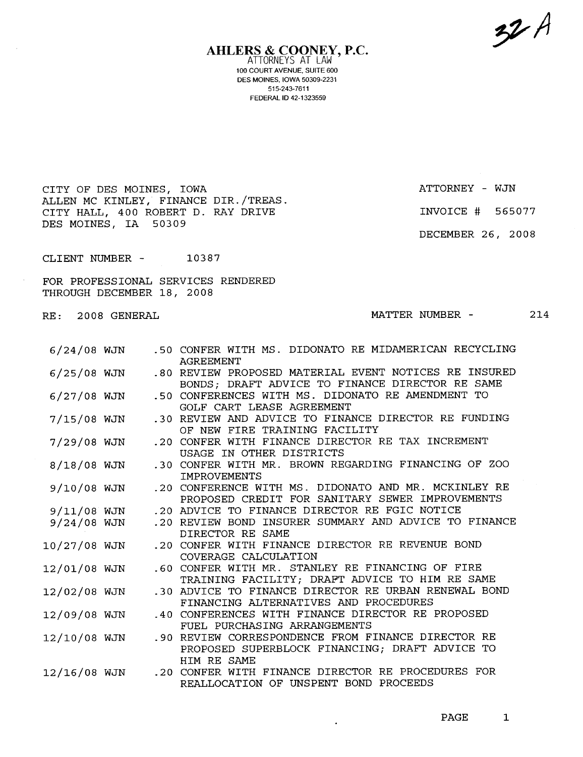9'A

AHLERS & COONEY, P.C. ATTORNEYS AT LAW 100 COURT AVENUE, SUITE 600 DES MOINES, IOWA 50309-2231 515-243-7611 FEDERAL ID 42-1323559

CITY OF DES MOINES, IOWA ATTORNEY - WJN ALLEN MC KINLEY, FINANCE DIR. /TREAS. CITY HALL, 400 ROBERT D. RAY DRIVE DES MOINES, IA 50309

INVOICE # 565077

DECEMBER 26, 2008

CLIENT NUMBER -10387

FOR PROFESSIONAL SERVICES RENDERED THROUGH DECEMBER 18, 2008

RE: 2008 GENERA

MATTER NUMBER - 214

| $6/24/08$ WJN | .50 CONFER WITH MS. DIDONATO RE MIDAMERICAN RECYCLING<br><b>AGREEMENT</b>                                |
|---------------|----------------------------------------------------------------------------------------------------------|
| $6/25/08$ WJN | .80 REVIEW PROPOSED MATERIAL EVENT NOTICES RE INSURED<br>BONDS; DRAFT ADVICE TO FINANCE DIRECTOR RE SAME |
| $6/27/08$ WJN | .50 CONFERENCES WITH MS. DIDONATO RE AMENDMENT TO<br>GOLF CART LEASE AGREEMENT                           |
| $7/15/08$ WJN | .30 REVIEW AND ADVICE TO FINANCE DIRECTOR RE FUNDING<br>OF NEW FIRE TRAINING FACILITY                    |
| $7/29/08$ WJN | .20 CONFER WITH FINANCE DIRECTOR RE TAX INCREMENT<br>USAGE IN OTHER DISTRICTS                            |
| $8/18/08$ WJN | .30 CONFER WITH MR. BROWN REGARDING FINANCING OF ZOO<br><b>TMPROVEMENTS</b>                              |
| 9/10/08 WJN   | .20 CONFERENCE WITH MS. DIDONATO AND MR. MCKINLEY RE<br>PROPOSED CREDIT FOR SANITARY SEWER IMPROVEMENTS  |
| $9/11/08$ WJN | .20 ADVICE TO FINANCE DIRECTOR RE FGIC NOTICE                                                            |
| $9/24/08$ WJN | .20 REVIEW BOND INSURER SUMMARY AND ADVICE TO FINANCE                                                    |
|               | DIRECTOR RE SAME                                                                                         |
| 10/27/08 WJN  | .20 CONFER WITH FINANCE DIRECTOR RE REVENUE BOND<br>COVERAGE CALCULATION                                 |
| 12/01/08 WJN  | .60 CONFER WITH MR. STANLEY RE FINANCING OF FIRE                                                         |
|               | TRAINING FACILITY; DRAFT ADVICE TO HIM RE SAME                                                           |
| 12/02/08 WJN  | .30 ADVICE TO FINANCE DIRECTOR RE URBAN RENEWAL BOND                                                     |
|               | FINANCING ALTERNATIVES AND PROCEDURES                                                                    |
| 12/09/08 WJN  | .40 CONFERENCES WITH FINANCE DIRECTOR RE PROPOSED                                                        |
|               | FUEL PURCHASING ARRANGEMENTS                                                                             |
| 12/10/08 WJN  | .90 REVIEW CORRESPONDENCE FROM FINANCE DIRECTOR RE                                                       |
|               | PROPOSED SUPERBLOCK FINANCING; DRAFT ADVICE TO                                                           |
|               | HIM RE SAME                                                                                              |
| 12/16/08 WJN  | .20 CONFER WITH FINANCE DIRECTOR RE PROCEDURES FOR                                                       |
|               | REALLOCATION OF UNSPENT BOND PROCEEDS                                                                    |

 $\bullet$